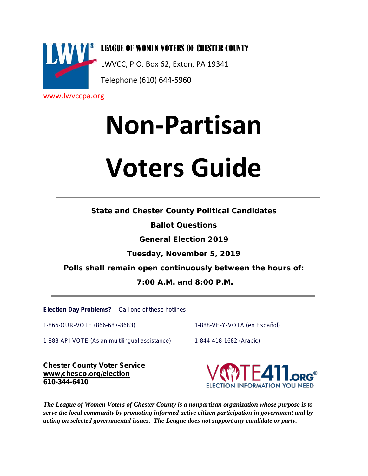

**Non-Partisan Voters Guide**

**State and Chester County Political Candidates**

**Ballot Questions**

**General Election 2019**

**Tuesday, November 5, 2019**

**Polls shall remain open continuously between the hours of:**

**7:00 A.M. and 8:00 P.M.**

**Election Day Problems?** Call one of these hotlines:

1-866-OUR-VOTE (866-687-8683) 11-888-VE-Y-VOTA (en Español)

1-888-API-VOTE (Asian multilingual assistance) 1-844-418-1682 (Arabic)

**Chester County Voter Service www,chesco.org/election 610-344-6410**



*The League of Women Voters of Chester County is a nonpartisan organization whose purpose is to serve the local community by promoting informed active citizen participation in government and by acting on selected governmental issues. The League does not support any candidate or party.*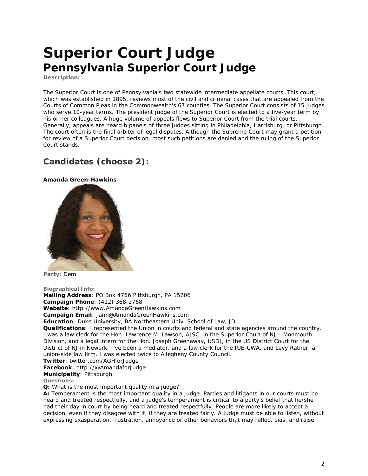# **Superior Court Judge Pennsylvania Superior Court Judge**

**Description:**

The Superior Court is one of Pennsylvania's two statewide intermediate appellate courts. This court, which was established in 1895, reviews most of the civil and criminal cases that are appealed from the Courts of Common Pleas in the Commonwealth's 67 counties. The Superior Court consists of 15 judges who serve 10-year terms. The president judge of the Superior Court is elected to a five-year term by his or her colleagues. A huge volume of appeals flows to Superior Court from the trial courts. Generally, appeals are heard b panels of three judges sitting in Philadelphia, Harrisburg, or Pittsburgh. The court often is the final arbiter of legal disputes. Although the Supreme Court may grant a petition for review of a Superior Court decision, most such petitions are denied and the ruling of the Superior Court stands.

## **Candidates (choose 2):**

**Amanda Green-Hawkins**



**Party:** Dem

**Biographical Info:**

**Mailing Address**: PO Box 4766 Pittsburgh, PA 15206

**Campaign Phone**: (412) 368-2768

**Website**: http://www.AmandaGreenHawkins.com

**Campaign Email**: Jann@AmandaGreenHawkins.com

**Education**: Duke University, BA Northeastern Univ. School of Law, JD

**Qualifications**: I represented the Union in courts and federal and state agencies around the country. I was a law clerk for the Hon. Lawrence M. Lawson, AJSC, in the Superior Court of NJ – Monmouth Division, and a legal intern for the Hon. Joseph Greenaway, USDJ, in the US District Court for the District of NJ in Newark. I've been a mediator, and a law clerk for the IUE-CWA, and Levy Ratner, a union-side law firm. I was elected twice to Allegheny County Council.

**Twitter**: twitter.com/AGHforJudge

**Facebook**: http://@AmandaforJudge

**Municipality**: Pittsburgh

**Questions:**

**Q:** *What is the most important quality in a judge?*

**A:** Temperament is the most important quality in a judge. Parties and litigants in our courts must be heard and treated respectfully, and a judge's temperament is critical to a party's belief that he/she had their day in court by being heard and treated respectfully. People are more likely to accept a decision, even if they disagree with it, if they are treated fairly. A judge must be able to listen, without expressing exasperation, frustration, annoyance or other behaviors that may reflect bias, and raise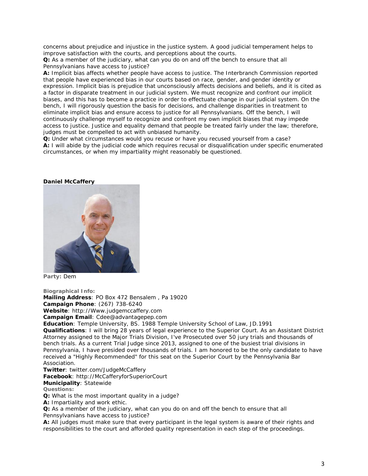concerns about prejudice and injustice in the justice system. A good judicial temperament helps to improve satisfaction with the courts, and perceptions about the courts.

**Q:** *As a member of the judiciary, what can you do on and off the bench to ensure that all Pennsylvanians have access to justice?*

**A:** Implicit bias affects whether people have access to justice. The Interbranch Commission reported that people have experienced bias in our courts based on race, gender, and gender identity or expression. Implicit bias is prejudice that unconsciously affects decisions and beliefs, and it is cited as a factor in disparate treatment in our judicial system. We must recognize and confront our implicit biases, and this has to become a practice in order to effectuate change in our judicial system. On the bench, I will rigorously question the basis for decisions, and challenge disparities in treatment to eliminate implicit bias and ensure access to justice for all Pennsylvanians. Off the bench, I will continuously challenge myself to recognize and confront my own implicit biases that may impede access to justice. Justice and equality demand that people be treated fairly under the law; therefore, judges must be compelled to act with unbiased humanity.

**Q:** *Under what circumstances would you recuse or have you recused yourself from a case?* **A:** I will abide by the judicial code which requires recusal or disqualification under specific enumerated circumstances, or when my impartiality might reasonably be questioned.

#### **Daniel McCaffery**



**Party:** Dem

**Biographical Info:**

**Mailing Address**: PO Box 472 Bensalem , Pa 19020

**Campaign Phone**: (267) 738-6240

**Website**: http://Www.judgemccaffery.com

**Campaign Email**: Cdee@advantagepep.com

**Education**: Temple University, BS. 1988 Temple University School of Law, JD.1991

**Qualifications**: I will bring 28 years of legal experience to the Superior Court. As an Assistant District Attorney assigned to the Major Trials Division, I've Prosecuted over 50 jury trials and thousands of bench trials. As a current Trial Judge since 2013, assigned to one of the busiest trial divisions in Pennsylvania, I have presided over thousands of trials. I am honored to be the only candidate to have received a "Highly Recommended" for this seat on the Superior Court by the Pennsylvania Bar Association.

**Twitter**: twitter.com/JudgeMcCaffery

**Facebook**: http://McCafferyforSuperiorCourt

**Municipality**: Statewide

**Questions:**

**Q:** *What is the most important quality in a judge?*

**A:** Impartiality and work ethic.

**Q:** *As a member of the judiciary, what can you do on and off the bench to ensure that all Pennsylvanians have access to justice?*

**A:** All judges must make sure that every participant in the legal system is aware of their rights and responsibilities to the court and afforded quality representation in each step of the proceedings.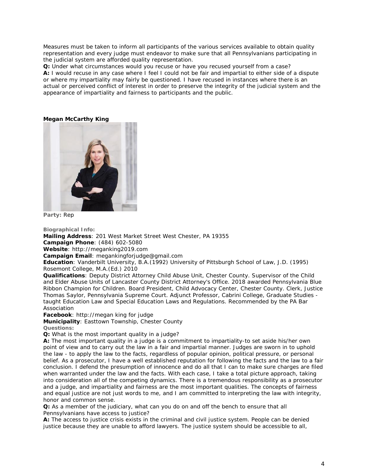Measures must be taken to inform all participants of the various services available to obtain quality representation and every judge must endeavor to make sure that all Pennsylvanians participating in the judicial system are afforded quality representation.

**Q:** *Under what circumstances would you recuse or have you recused yourself from a case?* **A:** I would recuse in any case where I feel I could not be fair and impartial to either side of a dispute or where my impartiality may fairly be questioned. I have recused in instances where there is an actual or perceived conflict of interest in order to preserve the integrity of the judicial system and the appearance of impartiality and fairness to participants and the public.

### **Megan McCarthy King**



**Party:** Rep

**Biographical Info: Mailing Address**: 201 West Market Street West Chester, PA 19355 **Campaign Phone**: (484) 602-5080 **Website**: http://meganking2019.com **Campaign Email**: megankingforjudge@gmail.com **Education**: Vanderbilt University, B.A.(1992) University of Pittsburgh School of Law, J.D. (1995)

Rosemont College, M.A.(Ed.) 2010

**Qualifications**: Deputy District Attorney Child Abuse Unit, Chester County. Supervisor of the Child and Elder Abuse Units of Lancaster County District Attorney's Office. 2018 awarded Pennsylvania Blue Ribbon Champion for Children. Board President, Child Advocacy Center, Chester County. Clerk, Justice Thomas Saylor, Pennsylvania Supreme Court. Adjunct Professor, Cabrini College, Graduate Studies taught Education Law and Special Education Laws and Regulations. Recommended by the PA Bar Association

**Facebook**: http://megan king for judge

**Municipality**: Easttown Township, Chester County

**Questions:**

**Q:** *What is the most important quality in a judge?*

**A:** The most important quality in a judge is a commitment to impartiality-to set aside his/her own point of view and to carry out the law in a fair and impartial manner. Judges are sworn in to uphold the law - to apply the law to the facts, regardless of popular opinion, political pressure, or personal belief. As a prosecutor, I have a well established reputation for following the facts and the law to a fair conclusion. I defend the presumption of innocence and do all that I can to make sure charges are filed when warranted under the law and the facts. With each case, I take a total picture approach, taking into consideration all of the competing dynamics. There is a tremendous responsibility as a prosecutor and a judge, and impartiality and fairness are the most important qualities. The concepts of fairness and equal justice are not just words to me, and I am committed to interpreting the law with integrity, honor and common sense.

**Q:** *As a member of the judiciary, what can you do on and off the bench to ensure that all Pennsylvanians have access to justice?*

**A:** The access to justice crisis exists in the criminal and civil justice system. People can be denied justice because they are unable to afford lawyers. The justice system should be accessible to all,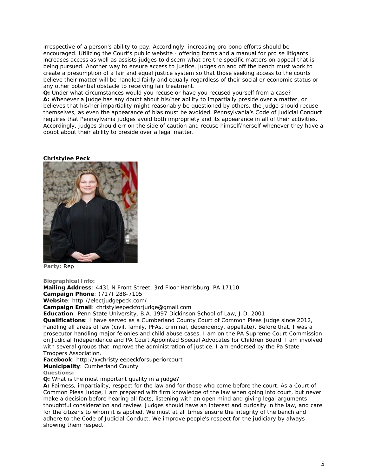irrespective of a person's ability to pay. Accordingly, increasing pro bono efforts should be encouraged. Utilizing the Court's public website - offering forms and a manual for pro se litigants increases access as well as assists judges to discern what are the specific matters on appeal that is being pursued. Another way to ensure access to justice, judges on and off the bench must work to create a presumption of a fair and equal justice system so that those seeking access to the courts believe their matter will be handled fairly and equally regardless of their social or economic status or any other potential obstacle to receiving fair treatment.

**Q:** *Under what circumstances would you recuse or have you recused yourself from a case?* **A:** Whenever a judge has any doubt about his/her ability to impartially preside over a matter, or believes that his/her impartiality might reasonably be questioned by others, the judge should recuse themselves, as even the appearance of bias must be avoided. Pennsylvania's Code of Judicial Conduct requires that Pennsylvania judges avoid both impropriety and its appearance in all of their activities. Accordingly, judges should err on the side of caution and recuse himself/herself whenever they have a doubt about their ability to preside over a legal matter.

#### **Christylee Peck**



**Party:** Rep

**Biographical Info:**

**Mailing Address**: 4431 N Front Street, 3rd Floor Harrisburg, PA 17110

**Campaign Phone**: (717) 288-7105 **Website**: http://electjudgepeck.com/

**Campaign Email**: christyleepeckforjudge@gmail.com

**Education**: Penn State University, B.A. 1997 Dickinson School of Law, J.D. 2001

**Qualifications**: I have served as a Cumberland County Court of Common Pleas Judge since 2012, handling all areas of law (civil, family, PFAs, criminal, dependency, appellate). Before that, I was a prosecutor handling major felonies and child abuse cases. I am on the PA Supreme Court Commission on Judicial Independence and PA Court Appointed Special Advocates for Children Board. I am involved with several groups that improve the administration of justice. I am endorsed by the Pa State Troopers Association.

**Facebook**: http://@christyleepeckforsuperiorcourt

**Municipality**: Cumberland County

**Questions:**

**Q:** *What is the most important quality in a judge?*

**A:** Fairness, impartiality, respect for the law and for those who come before the court. As a Court of Common Pleas Judge, I am prepared with firm knowledge of the law when going into court, but never make a decision before hearing all facts, listening with an open mind and giving legal arguments thoughtful consideration and review. Judges should have an interest and curiosity in the law, and care for the citizens to whom it is applied. We must at all times ensure the integrity of the bench and adhere to the Code of Judicial Conduct. We improve people's respect for the judiciary by always showing them respect.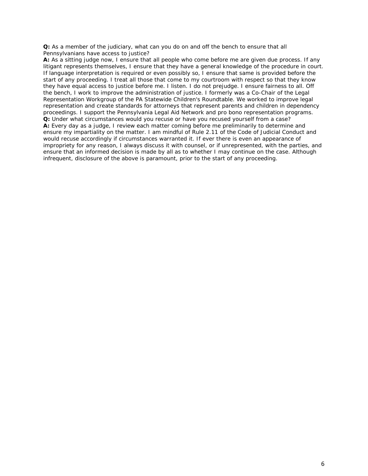### **Q:** *As a member of the judiciary, what can you do on and off the bench to ensure that all Pennsylvanians have access to justice?*

**A:** As a sitting judge now, I ensure that all people who come before me are given due process. If any litigant represents themselves, I ensure that they have a general knowledge of the procedure in court. If language interpretation is required or even possibly so, I ensure that same is provided before the start of any proceeding. I treat all those that come to my courtroom with respect so that they know they have equal access to justice before me. I listen. I do not prejudge. I ensure fairness to all. Off the bench, I work to improve the administration of justice. I formerly was a Co-Chair of the Legal Representation Workgroup of the PA Statewide Children's Roundtable. We worked to improve legal representation and create standards for attorneys that represent parents and children in dependency proceedings. I support the Pennsylvania Legal Aid Network and pro bono representation programs. **Q:** *Under what circumstances would you recuse or have you recused yourself from a case?* **A:** Every day as a judge, I review each matter coming before me preliminarily to determine and ensure my impartiality on the matter. I am mindful of Rule 2.11 of the Code of Judicial Conduct and would recuse accordingly if circumstances warranted it. If ever there is even an appearance of impropriety for any reason, I always discuss it with counsel, or if unrepresented, with the parties, and ensure that an informed decision is made by all as to whether I may continue on the case. Although infrequent, disclosure of the above is paramount, prior to the start of any proceeding.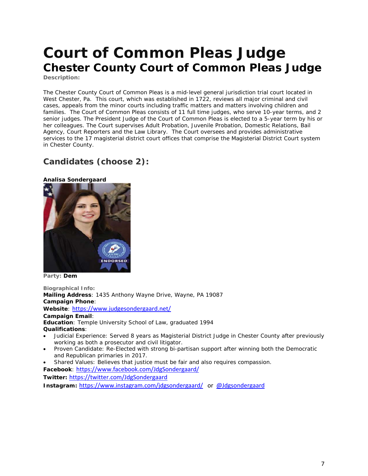# **Court of Common Pleas Judge Chester County Court of Common Pleas Judge**

**Description:**

The Chester County Court of Common Pleas is a mid-level general jurisdiction trial court located in West Chester, Pa. This court, which was established in 1722, reviews all major criminal and civil cases, appeals from the minor courts including traffic matters and matters involving children and families. The Court of Common Pleas consists of 11 full time judges, who serve 10-year terms, and 2 senior judges. The President Judge of the Court of Common Pleas is elected to a 5-year term by his or her colleagues. The Court supervises Adult Probation, Juvenile Probation, Domestic Relations, Bail Agency, Court Reporters and the Law Library. The Court oversees and provides administrative services to the 17 magisterial district court offices that comprise the Magisterial District Court system in Chester County.

## **Candidates (choose 2):**





**Party: Dem**

**Biographical Info: Mailing Address**: 1435 Anthony Wayne Drive, Wayne, PA 19087 **Campaign Phone**: **Website**: <https://www.judgesondergaard.net/> **Campaign Email**: **Education**: Temple University School of Law, graduated 1994 **Qualifications**: • Judicial Experience: Served 8 years as Magisterial District Judge in Chester County after previously working as both a prosecutor and civil litigator. • Proven Candidate: Re-Elected with strong bi-partisan support after winning both the Democratic and Republican primaries in 2017.

• Shared Values: Believes that justice must be fair and also requires compassion.

**Facebook**: <https://www.facebook.com/JdgSondergaard/>

**Twitter:** <https://twitter.com/JdgSondergaard>

**Instagram:** <https://www.instagram.com/jdgsondergaard/>or @Jdgsondergaard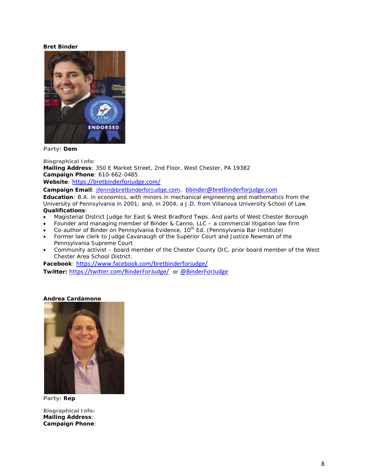### **Bret Binder**



**Party: Dem**

**Biographical Info: Mailing Address**: 350 E Market Street, 2nd Floor, West Chester, PA 19382 **Campaign Phone**: 610-662-0485 **Website**: <https://bretbinderforjudge.com/>

**Campaign Email**: [jfenn@bretbinderforjudge.com,](mailto:jfenn@bretbinderforjudge.com) bbinder@bretbinderforjudge.com

**Education**: B.A. in economics, with minors in mechanical engineering and mathematics from the University of Pennsylvania in 2001; and, in 2004, a J.D. from Villanova University School of Law. **Qualifications**:

- Magisterial District Judge for East & West Bradford Twps. And parts of West Chester Borough
- Founder and managing member of Binder & Canno, LLC a commercial litigation law firm
- Co-author of Binder on Pennsylvania Evidence, 10<sup>th</sup> Ed. (Pennsylvania Bar Institute)
- Former law clerk to Judge Cavanaugh of the Superior Court and Justice Newman of the Pennsylvania Supreme Court
- Community activist board member of the Chester County OIC, prior board member of the West Chester Area School District.

**Facebook**: <https://www.facebook.com/bretbinderforjudge/>

**Twitter:** <https://twitter.com/BinderForJudge/> or @BinderForJudge

#### **Andrea Cardamone**



**Party: Rep**

**Biographical Info: Mailing Address**: **Campaign Phone**: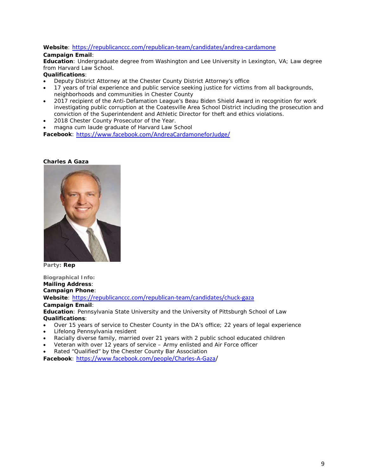## **Website**: <https://republicanccc.com/republican-team/candidates/andrea-cardamone>

## **Campaign Email**:

**Education**: Undergraduate degree from Washington and Lee University in Lexington, VA; Law degree from Harvard Law School.

## **Qualifications**:

- Deputy District Attorney at the Chester County District Attorney's office
- 17 years of trial experience and public service seeking justice for victims from all backgrounds, neighborhoods and communities in Chester County
- 2017 recipient of the Anti-Defamation League's Beau Biden Shield Award in recognition for work investigating public corruption at the Coatesville Area School District including the prosecution and conviction of the Superintendent and Athletic Director for theft and ethics violations.
- 2018 Chester County Prosecutor of the Year.
- magna cum laude graduate of Harvard Law School

**Facebook**: <https://www.facebook.com/AndreaCardamoneforJudge/>

### **Charles A Gaza**



**Party: Rep**

**Biographical Info: Mailing Address**: **Campaign Phone**: **Website**: <https://republicanccc.com/republican-team/candidates/chuck-gaza> **Campaign Email**: **Education**: Pennsylvania State University and the University of Pittsburgh School of Law **Qualifications**:

- Over 15 years of service to Chester County in the DA's office; 22 years of legal experience
- Lifelong Pennsylvania resident
- Racially diverse family, married over 21 years with 2 public school educated children
- Veteran with over 12 years of service Army enlisted and Air Force officer
- Rated "Qualified" by the Chester County Bar Association

**Facebook**: [https://www.facebook.com/people/Charles-A-Gaza/](https://www.facebook.com/people/Charles-A-Gaza)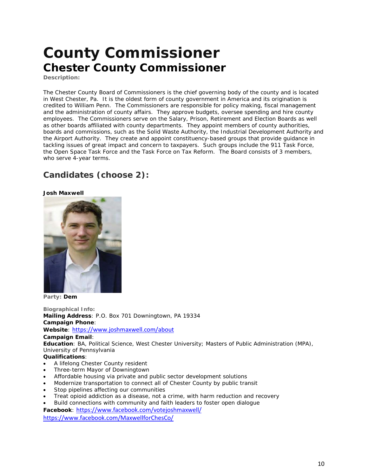# **County Commissioner Chester County Commissioner**

**Description:**

The Chester County Board of Commissioners is the chief governing body of the county and is located in West Chester, Pa. It is the oldest form of county government in America and its origination is credited to William Penn. The Commissioners are responsible for policy making, fiscal management and the administration of county affairs. They approve budgets, oversee spending and hire county employees. The Commissioners serve on the Salary, Prison, Retirement and Election Boards as well as other boards affiliated with county departments. They appoint members of county authorities, boards and commissions, such as the Solid Waste Authority, the Industrial Development Authority and the Airport Authority. They create and appoint constituency-based groups that provide guidance in tackling issues of great impact and concern to taxpayers. Such groups include the 911 Task Force, the Open Space Task Force and the Task Force on Tax Reform. The Board consists of 3 members, who serve 4-year terms.

## **Candidates (choose 2):**

**Josh Maxwell**



**Party: Dem**

**Biographical Info: Mailing Address**: P.O. Box 701 Downingtown, PA 19334 **Campaign Phone**: **Website**: <https://www.joshmaxwell.com/about> **Campaign Email**: **Education**: BA, Political Science, West Chester University; Masters of Public Administration (MPA), University of Pennsylvania **Qualifications**: • A lifelong Chester County resident • Three-term Mayor of Downingtown • Affordable housing via private and public sector development solutions • Modernize transportation to connect all of Chester County by public transit

- Stop pipelines affecting our communities
- Treat opioid addiction as a disease, not a crime, with harm reduction and recovery
- Build connections with community and faith leaders to foster open dialogue

**Facebook**: https://www.facebook.com/votejoshmaxwell/

<https://www.facebook.com/MaxwellforChesCo/>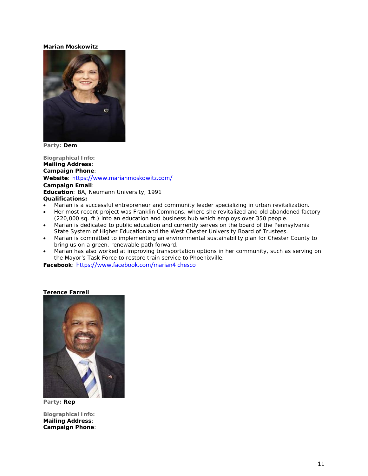#### **Marian Moskowitz**



**Party: Dem**

**Biographical Info: Mailing Address**: **Campaign Phone**: **Website**: <https://www.marianmoskowitz.com/> **Campaign Email**: **Education**: BA, Neumann University, 1991 **Qualifications:**

- Marian is a successful entrepreneur and community leader specializing in urban revitalization.
- Her most recent project was Franklin Commons, where she revitalized and old abandoned factory (220,000 sq. ft.) into an education and business hub which employs over 350 people.
- Marian is dedicated to public education and currently serves on the board of the Pennsylvania State System of Higher Education and the West Chester University Board of Trustees.
- Marian is committed to implementing an environmental sustainability plan for Chester County to bring us on a green, renewable path forward.
- Marian has also worked at improving transportation options in her community, such as serving on the Mayor's Task Force to restore train service to Phoenixville.

**Facebook**: https://www.facebook.com/marian4 chesco

#### **Terence Farrell**



**Party: Rep**

**Biographical Info: Mailing Address**: **Campaign Phone**: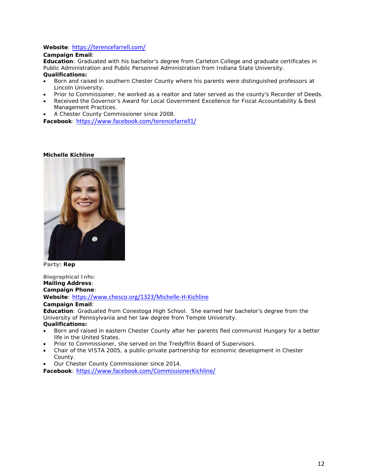## **Website**: <https://terencefarrell.com/>

## **Campaign Email**:

**Education**: Graduated with his bachelor's degree from Carleton College and graduate certificates in Public Administration and Public Personnel Administration from Indiana State University. **Qualifications:**

- Born and raised in southern Chester County where his parents were distinguished professors at Lincoln University.
- Prior to Commissioner, he worked as a realtor and later served as the county's Recorder of Deeds.
- Received the Governor's Award for Local Government Excellence for Fiscal Accountability & Best Management Practices.
- A Chester County Commissioner since 2008.

**Facebook**: <https://www.facebook.com/terencefarrell1/>

### **Michelle Kichline**



**Party: Rep**

**Biographical Info: Mailing Address**: **Campaign Phone**: **Website**: <https://www.chesco.org/1323/Michelle-H-Kichline> **Campaign Email**:

**Education**: Graduated from Conestoga High School. She earned her bachelor's degree from the University of Pennsylvania and her law degree from Temple University.

## **Qualifications:**

- Born and raised in eastern Chester County after her parents fled communist Hungary for a better life in the United States.
- Prior to Commissioner, she served on the Tredyffrin Board of Supervisors.
- Chair of the VISTA 2005, a public-private partnership for economic development in Chester County.
- Our Chester County Commissioner since 2014.

**Facebook**: <https://www.facebook.com/CommissionerKichline/>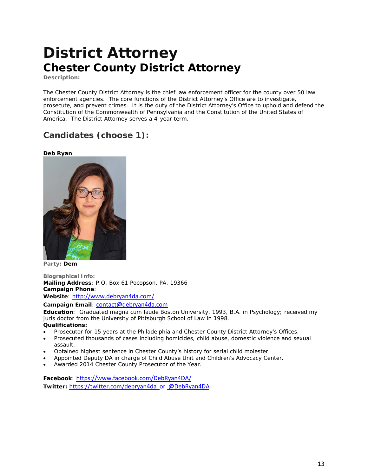## **District Attorney Chester County District Attorney**

**Description:**

The Chester County District Attorney is the chief law enforcement officer for the county over 50 law enforcement agencies. The core functions of the District Attorney's Office are to investigate, prosecute, and prevent crimes. It is the duty of the District Attorney's Office to uphold and defend the Constitution of the Commonwealth of Pennsylvania and the Constitution of the United States of America. The District Attorney serves a 4-year term.

## **Candidates (choose 1):**

### **Deb Ryan**



**Party: Dem**

**Biographical Info: Mailing Address**: P.O. Box 61 Pocopson, PA. 19366 **Campaign Phone**: **Website**: <http://www.debryan4da.com/>

**Campaign Email**: contact@debryan4da.com

**Education**: Graduated magna cum laude Boston University, 1993, B.A. in Psychology; received my juris doctor from the University of Pittsburgh School of Law in 1998.

**Qualifications:**

- Prosecutor for 15 years at the Philadelphia and Chester County District Attorney's Offices.
- Prosecuted thousands of cases including homicides, child abuse, domestic violence and sexual assault.
- Obtained highest sentence in Chester County's history for serial child molester.
- Appointed Deputy DA in charge of Child Abuse Unit and Children's Advocacy Center.
- Awarded 2014 Chester County Prosecutor of the Year.

**Facebook**: <https://www.facebook.com/DebRyan4DA/> **Twitter:** <https://twitter.com/debryan4da>or @DebRyan4DA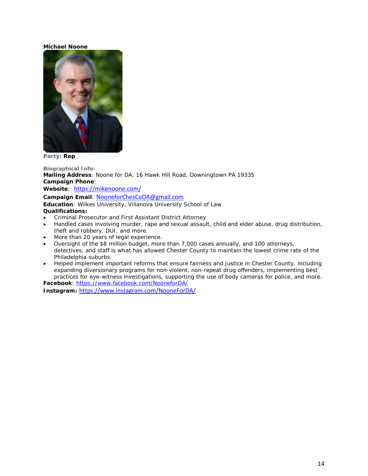### **Michael Noone**



**Party: Rep**

**Biographical Info: Mailing Address**: Noone for DA, 16 Hawk Hill Road, Downingtown PA 19335 **Campaign Phone**: **Website**: <https://mikenoone.com/> **Campaign Email**: NooneforChesCoDA@gmail.com **Education**: Wilkes University, Villanova University School of Law **Qualifications:** • Criminal Prosecutor and First Assistant District Attorney

- Handled cases involving murder, rape and sexual assault, child and elder abuse, drug distribution, theft and robbery, DUI, and more.
- More than 20 years of legal experience.
- Oversight of the \$8 million budget, more than 7,000 cases annually, and 100 attorneys, detectives, and staff is what has allowed Chester County to maintain the lowest crime rate of the Philadelphia suburbs.
- Helped implement important reforms that ensure fairness and justice in Chester County, including expanding diversionary programs for non-violent, non-repeat drug offenders, implementing best practices for eye-witness investigations, supporting the use of body cameras for police, and more.

**Facebook**:<https://www.facebook.com/NooneforDA/> **Instagram:** https://www.instagram.com/NooneForDA/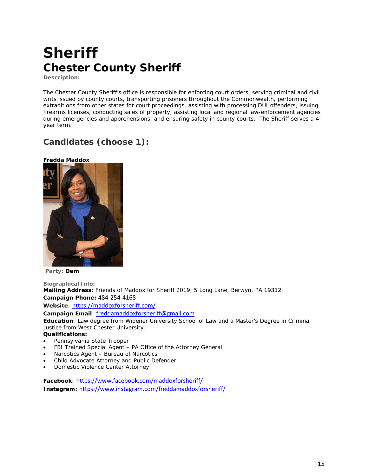# **Sheriff Chester County Sheriff**

**Description:**

The Chester County Sheriff's office is responsible for enforcing court orders, serving criminal and civil writs issued by county courts, transporting prisoners throughout the Commonwealth, performing extraditions from other states for court proceedings, assisting with processing DUI offenders, issuing firearms licenses, conducting sales of property, assisting local and regional law-enforcement agencies during emergencies and apprehensions, and ensuring safety in county courts. The Sheriff serves a 4year term.

## **Candidates (choose 1):**

**Fredda Maddox**



**Party: Dem**

**Biographical Info: Mailing Address:** Friends of Maddox for Sheriff 2019, 5 Long Lane, Berwyn, PA 19312 **Campaign Phone:** 484-254-4168 **Website**: <https://maddoxforsheriff.com/>

**Campaign Email**: freddamaddoxforsheriff@gmail.com

**Education**: Law degree from Widener University School of Law and a Master's Degree in Criminal Justice from West Chester University.

**Qualifications:**

- Pennsylvania State Trooper
- FBI Trained Special Agent PA Office of the Attorney General
- Narcotics Agent Bureau of Narcotics
- Child Advocate Attorney and Public Defender
- Domestic Violence Center Attorney

**Facebook**: <https://www.facebook.com/maddoxforsheriff/> **Instagram:** <https://www.instagram.com/freddamaddoxforsheriff/>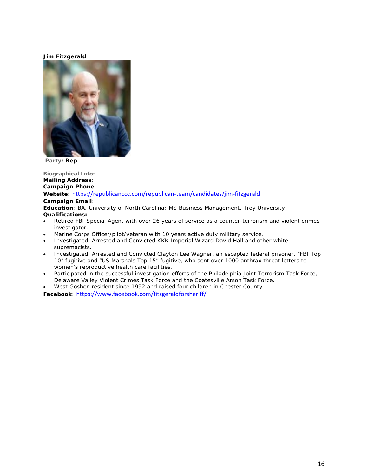## **Jim Fitzgerald**



**Party: Rep**

**Biographical Info: Mailing Address**: **Campaign Phone**: **Website**: <https://republicanccc.com/republican-team/candidates/jim-fitzgerald> **Campaign Email**: **Education**: BA, University of North Carolina; MS Business Management, Troy University **Qualifications:**

- Retired FBI Special Agent with over 26 years of service as a counter-terrorism and violent crimes investigator.
- Marine Corps Officer/pilot/veteran with 10 years active duty military service.
- Investigated, Arrested and Convicted KKK Imperial Wizard David Hall and other white supremacists.
- Investigated, Arrested and Convicted Clayton Lee Wagner, an escapted federal prisoner, "FBI Top 10" fugitive and "US Marshals Top 15" fugitive, who sent over 1000 anthrax threat letters to women's reproductive health care facilities.
- Participated in the successful investigation efforts of the Philadelphia Joint Terrorism Task Force, Delaware Valley Violent Crimes Task Force and the Coatesville Arson Task Force.
- West Goshen resident since 1992 and raised four children in Chester County.

**Facebook**: <https://www.facebook.com/fitzgeraldforsheriff/>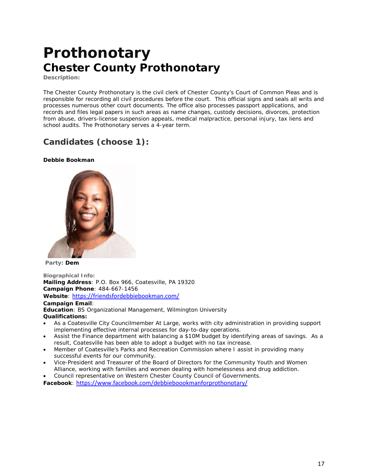## **Prothonotary Chester County Prothonotary**

**Description:**

The Chester County [Prothonotary](https://www.chesco.org/173/Prothonotary) is the civil clerk of Chester County's Court of Common Pleas and is responsible for recording all civil procedures before the court. This official signs and seals all writs and processes numerous other court documents. The office also processes passport applications, and records and files legal papers in such areas as name changes, custody decisions, divorces, protection from abuse, drivers-license suspension appeals, medical malpractice, personal injury, tax liens and school audits. The Prothonotary serves a 4-year term.

## **Candidates (choose 1):**

## **Debbie Bookman**



**Party: Dem**

**Biographical Info: Mailing Address**: P.O. Box 966, Coatesville, PA 19320 **Campaign Phone**: 484-667-1456 **Website**: <https://friendsfordebbiebookman.com/> **Campaign Email**: **Education**: BS Organizational Management, Wilmington University **Qualifications:**

- As a Coatesville City Councilmember At Large, works with city administration in providing support implementing effective internal processes for day-to-day operations.
- Assist the Finance department with balancing a \$10M budget by identifying areas of savings. As a result, Coatesville has been able to adopt a budget with no tax increase.
- Member of Coatesville's Parks and Recreation Commission where I assist in providing many successful events for our community.
- Vice-President and Treasurer of the Board of Directors for the Community Youth and Women Alliance, working with families and women dealing with homelessness and drug addiction.
- Council representative on Western Chester County Council of Governments.

**Facebook**: <https://www.facebook.com/debbieboookmanforprothonotary/>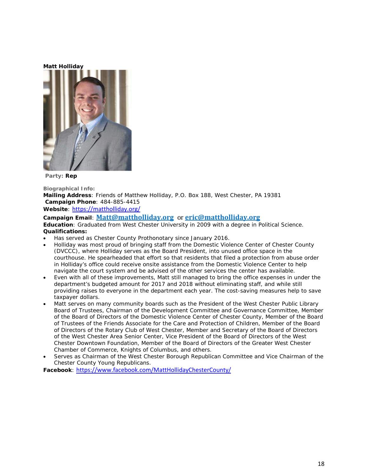#### **Matt Holliday**



**Party: Rep** 

**Biographical Info:**

**Mailing Address**: Friends of Matthew Holliday, P.O. Box 188, West Chester, PA 19381 **Campaign Phone**: 484-885-4415

**Website**: <https://mattholliday.org/>

### **Campaign Email**: **[Matt@mattholliday.org](mailto:Matt@mattholliday.org)** or **[eric@mattholliday.org](mailto:eric@mattholliday.org)**

**Education**: Graduated from West Chester University in 2009 with a degree in Political Science. **Qualifications:**

- Has served as Chester County Prothonotary since January 2016.
- Holliday was most proud of bringing staff from the Domestic Violence Center of Chester County (DVCCC), where Holliday serves as the Board President, into unused office space in the courthouse. He spearheaded that effort so that residents that filed a protection from abuse order in Holliday's office could receive onsite assistance from the Domestic Violence Center to help navigate the court system and be advised of the other services the center has available.
- Even with all of these improvements, Matt still managed to bring the office expenses in under the department's budgeted amount for 2017 and 2018 without eliminating staff, and while still providing raises to everyone in the department each year. The cost-saving measures help to save taxpayer dollars.
- Matt serves on many community boards such as the President of the West Chester Public Library Board of Trustees, Chairman of the Development Committee and Governance Committee, Member of the Board of Directors of the Domestic Violence Center of Chester County, Member of the Board of Trustees of the Friends Associate for the Care and Protection of Children, Member of the Board of Directors of the Rotary Club of West Chester, Member and Secretary of the Board of Directors of the West Chester Area Senior Center, Vice President of the Board of Directors of the West Chester Downtown Foundation, Member of the Board of Directors of the Greater West Chester Chamber of Commerce, Knights of Columbus, and others.
- Serves as Chairman of the West Chester Borough Republican Committee and Vice Chairman of the Chester County Young Republicans.

**Facebook**: <https://www.facebook.com/MattHollidayChesterCounty/>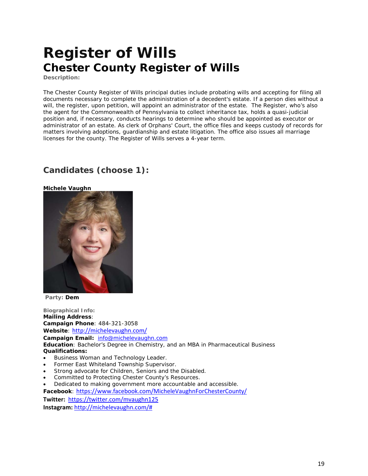## **Register of Wills Chester County Register of Wills**

**Description:**

The Chester County Register of Wills principal duties include probating wills and accepting for filing all documents necessary to complete the administration of a decedent's estate. If a person dies without a will, the register, upon petition, will appoint an administrator of the estate. The Register, who's also the agent for the Commonwealth of Pennsylvania to collect inheritance [tax,](http://www.buckscounty.org/government/RowOfficers/RegisterofWills) holds a quasi-judicial position and, if necessary, conducts hearings to determine who should be appointed as executor or administrator of an estate. As clerk of Orphans' Court, the office files and keeps custody of records for matters involving adoptions, guardianship and estate litigation. The office also issues all marriage licenses for the county. The Register of Wills serves a 4-year term.

## **Candidates (choose 1):**



**Party: Dem**

**Biographical Info: Mailing Address**: **Campaign Phone**: 484-321-3058 **Website**: <http://michelevaughn.com/> **Campaign Email:** [info@michelevaughn.com](mailto:info@michelevaughn.com) **Education**: Bachelor's Degree in Chemistry, and an MBA in Pharmaceutical Business **Qualifications:**

- Business Woman and Technology Leader.
- Former East Whiteland Township Supervisor.
- Strong advocate for Children, Seniors and the Disabled.
- Committed to Protecting Chester County's Resources.

• Dedicated to making government more accountable and accessible.

**Facebook**: <https://www.facebook.com/MicheleVaughnForChesterCounty/>

**Twitter:**<https://twitter.com/mvaughn125> **Instagram:** [http://michelevaughn.com/#](http://michelevaughn.com/)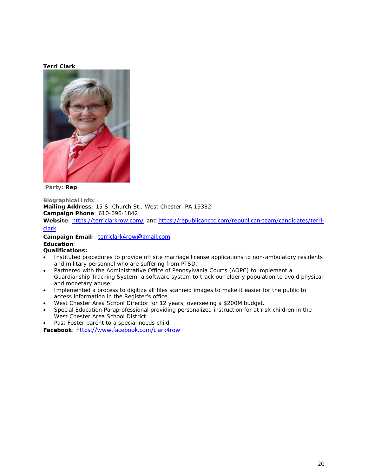## **Terri Clark**



**Party: Rep** 

**Biographical Info: Mailing Address**: 15 S. Church St., West Chester, PA 19382 **Campaign Phone**: 610-696-1842 Website: <https://terriclarkrow.com/>an[d https://republicanccc.com/republican-team/candidates/terri-](https://republicanccc.com/republican-team/candidates/terri-clark)

### [clark](https://republicanccc.com/republican-team/candidates/terri-clark)

**Campaign Email**: terriclark4row@gmail.com **Education**:

### **Qualifications:**

- Instituted procedures to provide off site marriage license applications to non-ambulatory residents and military personnel who are suffering from PTSD.
- Partnered with the Administrative Office of Pennsylvania Courts (AOPC) to implement a Guardianship Tracking System, a software system to track our elderly population to avoid physical and monetary abuse.
- Implemented a process to digitize all files scanned images to make it easier for the public to access information in the Register's office.
- West Chester Area School Director for 12 years, overseeing a \$200M budget.
- Special Education Paraprofessional providing personalized instruction for at risk children in the West Chester Area School District.
- Past Foster parent to a special needs child.

**Facebook**: <https://www.facebook.com/clark4row>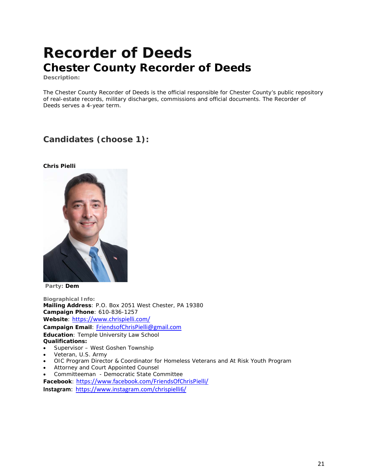## **Recorder of Deeds Chester County Recorder of Deeds**

**Description:**

The Chester County Recorder of Deeds is the official responsible for Chester County's public repository of real-estate records, military discharges, commissions and official documents. The Recorder of Deeds serves a 4-year term.

## **Candidates (choose 1):**

### **Chris Pielli**



**Party: Dem**

**Biographical Info: Mailing Address**: P.O. Box 2051 West Chester, PA 19380 **Campaign Phone**: 610-836-1257 **Website**: <https://www.chrispielli.com/> **Campaign Email**: FriendsofChrisPielli@gmail.com **Education**: Temple University Law School **Qualifications:** • Supervisor – West Goshen Township

- Veteran, U.S. Army
- OIC Program Director & Coordinator for Homeless Veterans and At Risk Youth Program
- Attorney and Court Appointed Counsel
- Committeeman Democratic State Committee

**Facebook**: <https://www.facebook.com/FriendsOfChrisPielli/>

**Instagram**: <https://www.instagram.com/chrispielli6/>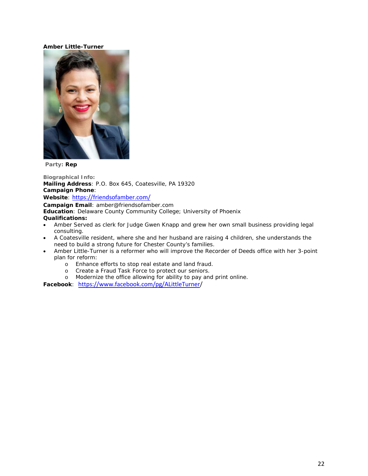## **Amber Little-Turner**



**Party: Rep** 

**Biographical Info: Mailing Address**: P.O. Box 645, Coatesville, PA 19320 **Campaign Phone**: **Website**: <https://friendsofamber.com/> **Campaign Email**: amber@friendsofamber.com **Education**: Delaware County Community College; University of Phoenix

**Qualifications:**

- Amber Served as clerk for Judge Gwen Knapp and grew her own small business providing legal consulting.
- A Coatesville resident, where she and her husband are raising 4 children, she understands the need to build a strong future for Chester County's families.
- Amber Little-Turner is a reformer who will improve the Recorder of Deeds office with her 3-point plan for reform:
	- o Enhance efforts to stop real estate and land fraud.
	- o Create a Fraud Task Force to protect our seniors.
	- o Modernize the office allowing for ability to pay and print online.

**Facebook**: [https://www.facebook.com/pg/ALittleTurner/](https://www.facebook.com/pg/ALittleTurner)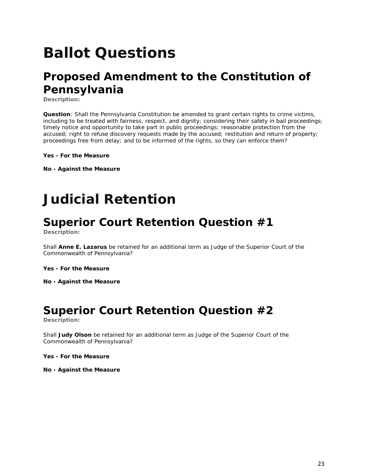# **Ballot Questions**

## **Proposed Amendment to the Constitution of Pennsylvania**

**Description:**

**Question**: Shall the Pennsylvania Constitution be amended to grant certain rights to crime victims, including to be treated with fairness, respect, and dignity; considering their safety in bail proceedings; timely notice and opportunity to take part in public proceedings; reasonable protection from the accused; right to refuse discovery requests made by the accused; restitution and return of property; proceedings free from delay; and to be informed of the rights, so they can enforce them?

**Yes - For the Measure**

**No - Against the Measure**

## **Judicial Retention**

## **Superior Court Retention Question #1**

**Description:**

Shall **Anne E. Lazarus** be retained for an additional term as Judge of the Superior Court of the Commonwealth of Pennsylvania?

**Yes - For the Measure**

**No - Against the Measure**

## **Superior Court Retention Question #2**

**Description:**

Shall **Judy Olson** be retained for an additional term as Judge of the Superior Court of the Commonwealth of Pennsylvania?

**Yes - For the Measure**

**No - Against the Measure**